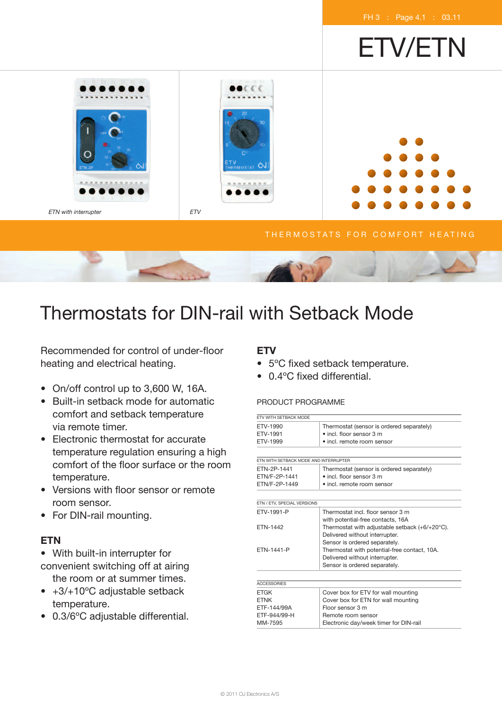ETV/ETN

FH 3 : Page 4.1 : 03.11

Thermostats for DIN-rail with Setback Mode

Recommended for control of under-floor heating and electrical heating.

• On/off control up to 3,600 W, 16A.

ETN with interrupter ETV

- Built-in setback mode for automatic comfort and setback temperature via remote timer.
- Electronic thermostat for accurate temperature regulation ensuring a high comfort of the floor surface or the room temperature.
- Versions with floor sensor or remote room sensor.
- For DIN-rail mounting.

# **ETN**

- With built-in interrupter for convenient switching off at airing the room or at summer times.
- +3/+10°C adjustable setback temperature.
- 0.3/6ºC adjustable differential.

# **ETV**

- 5ºC fixed setback temperature.
- 0.4ºC fixed differential.

## PRODUCT PROGRAMME

| FTV WITH SFTBACK MODE                 |                                                |  |
|---------------------------------------|------------------------------------------------|--|
| FTV-1990                              | Thermostat (sensor is ordered separately)      |  |
| ETV-1991                              | $\bullet$ incl. floor sensor 3 m               |  |
| ETV-1999                              | • incl. remote room sensor                     |  |
|                                       |                                                |  |
| FTN WITH SFTBACK MODE AND INTERRUPTER |                                                |  |
| FTN-2P-1441                           | Thermostat (sensor is ordered separately)      |  |
| ETN/F-2P-1441                         | • incl. floor sensor 3 m                       |  |
| ETN/F-2P-1449                         | • incl. remote room sensor                     |  |
|                                       |                                                |  |
| ETN / ETV, SPECIAL VERSIONS           |                                                |  |
| FTV-1991-P                            | Thermostat incl. floor sensor 3 m              |  |
|                                       | with potential-free contacts, 16A              |  |
| FTN-1442                              | Thermostat with adjustable setback (+6/+20°C). |  |
|                                       | Delivered without interrupter.                 |  |
|                                       | Sensor is ordered separately.                  |  |
| FTN-1441-P                            | Thermostat with potential-free contact, 10A.   |  |
|                                       | Delivered without interrupter.                 |  |
|                                       | Sensor is ordered separately.                  |  |
|                                       |                                                |  |
| <b>ACCESSORIES</b>                    |                                                |  |
| <b>ETGK</b>                           | Cover box for ETV for wall mounting            |  |
| <b>FTNK</b>                           | Cover box for ETN for wall mounting            |  |
| ETF-144/99A                           | Floor sensor 3 m                               |  |
| ETF-944/99-H                          | Remote room sensor                             |  |
| MM-7595                               | Electronic day/week timer for DIN-rail         |  |